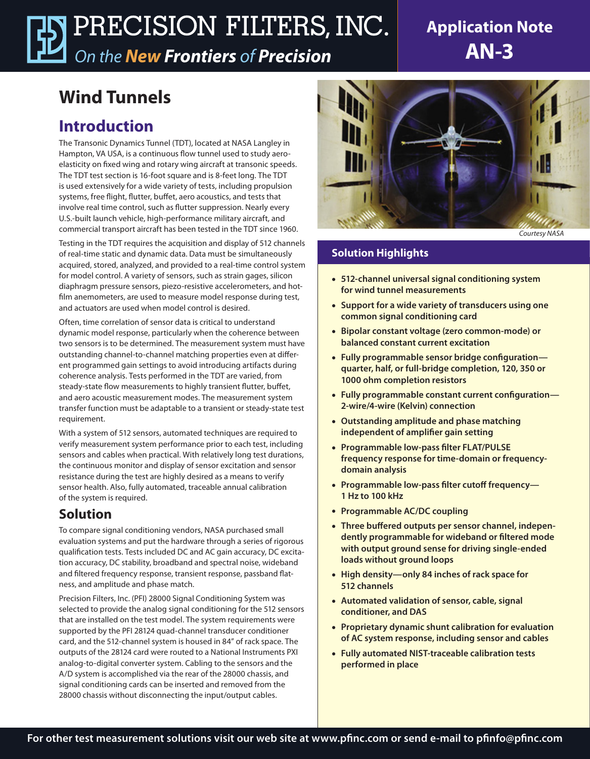# PRECISION FILTERS, INC. *On the New Frontiers of Precision*

# **Application Note AN-3**

# **Wind Tunnels**

## **Introduction**

The Transonic Dynamics Tunnel (TDT), located at NASA Langley in Hampton, VA USA, is a continuous flow tunnel used to study aeroelasticity on fixed wing and rotary wing aircraft at transonic speeds. The TDT test section is 16-foot square and is 8-feet long. The TDT is used extensively for a wide variety of tests, including propulsion systems, free flight, flutter, buffet, aero acoustics, and tests that involve real time control, such as flutter suppression. Nearly every U.S.-built launch vehicle, high-performance military aircraft, and commercial transport aircraft has been tested in the TDT since 1960.

Testing in the TDT requires the acquisition and display of 512 channels of real-time static and dynamic data. Data must be simultaneously acquired, stored, analyzed, and provided to a real-time control system for model control. A variety of sensors, such as strain gages, silicon diaphragm pressure sensors, piezo-resistive accelerometers, and hotfilm anemometers, are used to measure model response during test, and actuators are used when model control is desired.

Often, time correlation of sensor data is critical to understand dynamic model response, particularly when the coherence between two sensors is to be determined. The measurement system must have outstanding channel-to-channel matching properties even at different programmed gain settings to avoid introducing artifacts during coherence analysis. Tests performed in the TDT are varied, from steady-state flow measurements to highly transient flutter, buffet, and aero acoustic measurement modes. The measurement system transfer function must be adaptable to a transient or steady-state test requirement.

With a system of 512 sensors, automated techniques are required to verify measurement system performance prior to each test, including sensors and cables when practical. With relatively long test durations, the continuous monitor and display of sensor excitation and sensor resistance during the test are highly desired as a means to verify sensor health. Also, fully automated, traceable annual calibration of the system is required.

## **Solution**

To compare signal conditioning vendors, NASA purchased small evaluation systems and put the hardware through a series of rigorous qualification tests. Tests included DC and AC gain accuracy, DC excitation accuracy, DC stability, broadband and spectral noise, wideband and filtered frequency response, transient response, passband flatness, and amplitude and phase match.

Precision Filters, Inc. (PFI) 28000 Signal Conditioning System was selected to provide the analog signal conditioning for the 512 sensors that are installed on the test model. The system requirements were supported by the PFI 28124 quad-channel transducer conditioner card, and the 512-channel system is housed in 84" of rack space. The outputs of the 28124 card were routed to a National Instruments PXI analog-to-digital converter system. Cabling to the sensors and the A/D system is accomplished via the rear of the 28000 chassis, and signal conditioning cards can be inserted and removed from the 28000 chassis without disconnecting the input/output cables.



*Courtesy NASA*

### **Solution Highlights**

- **• 512-channel universal signal conditioning system for wind tunnel measurements**
- **• Support for a wide variety of transducers using one common signal conditioning card**
- **• Bipolar constant voltage (zero common-mode) or balanced constant current excitation**
- **• Fully programmable sensor bridge configuration quarter, half, or full-bridge completion, 120, 350 or 1000 ohm completion resistors**
- **• Fully programmable constant current configuration— 2-wire/4-wire (Kelvin) connection**
- **• Outstanding amplitude and phase matching independent of amplifier gain setting**
- **• Programmable low-pass filter FLAT/PULSE frequency response for time-domain or frequencydomain analysis**
- **• Programmable low-pass filter cutoff frequency— 1 Hz to 100 kHz**
- **• Programmable AC/DC coupling**
- **• Three buffered outputs per sensor channel, independently programmable for wideband or filtered mode with output ground sense for driving single-ended loads without ground loops**
- **• High density—only 84 inches of rack space for 512 channels**
- **• Automated validation of sensor, cable, signal conditioner, and DAS**
- **• Proprietary dynamic shunt calibration for evaluation of AC system response, including sensor and cables**
- **• Fully automated NIST-traceable calibration tests performed in place**